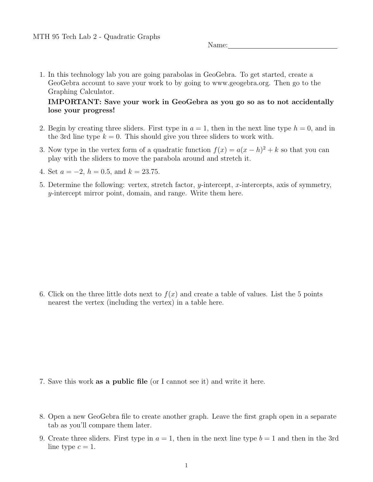Name:

1. In this technology lab you are going parabolas in GeoGebra. To get started, create a GeoGebra account to save your work to by going to www.geogebra.org. Then go to the Graphing Calculator.

## IMPORTANT: Save your work in GeoGebra as you go so as to not accidentally lose your progress!

- 2. Begin by creating three sliders. First type in  $a = 1$ , then in the next line type  $h = 0$ , and in the 3rd line type  $k = 0$ . This should give you three sliders to work with.
- 3. Now type in the vertex form of a quadratic function  $f(x) = a(x h)^2 + k$  so that you can play with the sliders to move the parabola around and stretch it.
- 4. Set  $a = -2$ ,  $h = 0.5$ , and  $k = 23.75$ .
- 5. Determine the following: vertex, stretch factor, y-intercept, x-intercepts, axis of symmetry, y-intercept mirror point, domain, and range. Write them here.

6. Click on the three little dots next to  $f(x)$  and create a table of values. List the 5 points nearest the vertex (including the vertex) in a table here.

- 7. Save this work as a public file (or I cannot see it) and write it here.
- 8. Open a new GeoGebra file to create another graph. Leave the first graph open in a separate tab as you'll compare them later.
- 9. Create three sliders. First type in  $a = 1$ , then in the next line type  $b = 1$  and then in the 3rd line type  $c = 1$ .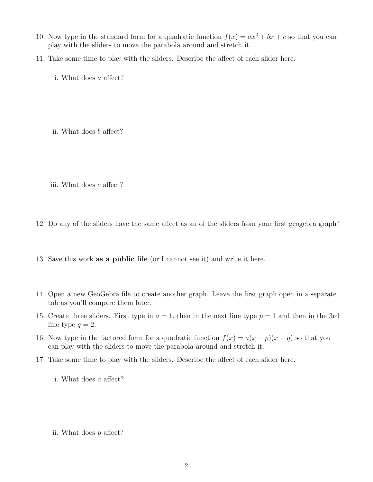- 10. Now type in the standard form for a quadratic function  $f(x) = ax^2 + bx + c$  so that you can play with the sliders to move the parabola around and stretch it.
- 11. Take some time to play with the sliders. Describe the affect of each slider here.
	- i. What does a affect?
	- ii. What does b affect?
	- iii. What does c affect?
- 12. Do any of the sliders have the same affect as an of the sliders from your first geogebra graph?
- 13. Save this work as a public file (or I cannot see it) and write it here.
- 14. Open a new GeoGebra file to create another graph. Leave the first graph open in a separate tab as you'll compare them later.
- 15. Create three sliders. First type in  $a = 1$ , then in the next line type  $p = 1$  and then in the 3rd line type  $q = 2$ .
- 16. Now type in the factored form for a quadratic function  $f(x) = a(x p)(x q)$  so that you can play with the sliders to move the parabola around and stretch it.
- 17. Take some time to play with the sliders. Describe the affect of each slider here.
	- i. What does a affect?
	- ii. What does p affect?